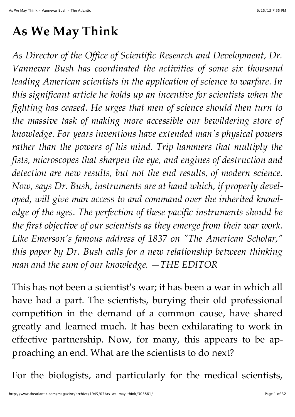# **As We May Think**

*As Director of the Office of Scientific Research and Development, Dr. Vannevar Bush has coordinated the activities of some six thousand leading American scientists in the application of science to warfare. In this significant article he holds up an incentive for scientists when the fighting has ceased. He urges that men of science should then turn to the massive task of making more accessible our bewildering store of knowledge. For years inventions have extended man's physical powers rather than the powers of his mind. Trip hammers that multiply the fists, microscopes that sharpen the eye, and engines of destruction and detection are new results, but not the end results, of modern science. Now, says Dr. Bush, instruments are at hand which, if properly developed, will give man access to and command over the inherited knowledge of the ages. The perfection of these pacific instruments should be the first objective of our scientists as they emerge from their war work. Like Emerson's famous address of 1837 on "The American Scholar," this paper by Dr. Bush calls for a new relationship between thinking man and the sum of our knowledge. —THE EDITOR*

This has not been a scientist's war; it has been a war in which all have had a part. The scientists, burying their old professional competition in the demand of a common cause, have shared greatly and learned much. It has been exhilarating to work in effective partnership. Now, for many, this appears to be approaching an end. What are the scientists to do next?

For the biologists, and particularly for the medical scientists,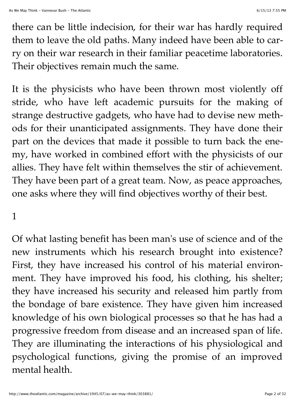there can be little indecision, for their war has hardly required them to leave the old paths. Many indeed have been able to carry on their war research in their familiar peacetime laboratories. Their objectives remain much the same.

It is the physicists who have been thrown most violently off stride, who have left academic pursuits for the making of strange destructive gadgets, who have had to devise new methods for their unanticipated assignments. They have done their part on the devices that made it possible to turn back the enemy, have worked in combined effort with the physicists of our allies. They have felt within themselves the stir of achievement. They have been part of a great team. Now, as peace approaches, one asks where they will find objectives worthy of their best.

1

Of what lasting benefit has been man's use of science and of the new instruments which his research brought into existence? First, they have increased his control of his material environment. They have improved his food, his clothing, his shelter; they have increased his security and released him partly from the bondage of bare existence. They have given him increased knowledge of his own biological processes so that he has had a progressive freedom from disease and an increased span of life. They are illuminating the interactions of his physiological and psychological functions, giving the promise of an improved mental health.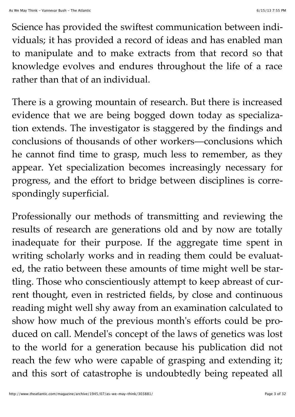Science has provided the swiftest communication between individuals; it has provided a record of ideas and has enabled man to manipulate and to make extracts from that record so that knowledge evolves and endures throughout the life of a race rather than that of an individual.

There is a growing mountain of research. But there is increased evidence that we are being bogged down today as specialization extends. The investigator is staggered by the findings and conclusions of thousands of other workers—conclusions which he cannot find time to grasp, much less to remember, as they appear. Yet specialization becomes increasingly necessary for progress, and the effort to bridge between disciplines is correspondingly superficial.

Professionally our methods of transmitting and reviewing the results of research are generations old and by now are totally inadequate for their purpose. If the aggregate time spent in writing scholarly works and in reading them could be evaluated, the ratio between these amounts of time might well be startling. Those who conscientiously attempt to keep abreast of current thought, even in restricted fields, by close and continuous reading might well shy away from an examination calculated to show how much of the previous month's efforts could be produced on call. Mendel's concept of the laws of genetics was lost to the world for a generation because his publication did not reach the few who were capable of grasping and extending it; and this sort of catastrophe is undoubtedly being repeated all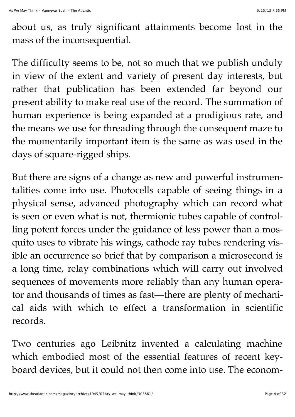about us, as truly significant attainments become lost in the mass of the inconsequential.

The difficulty seems to be, not so much that we publish unduly in view of the extent and variety of present day interests, but rather that publication has been extended far beyond our present ability to make real use of the record. The summation of human experience is being expanded at a prodigious rate, and the means we use for threading through the consequent maze to the momentarily important item is the same as was used in the days of square-rigged ships.

But there are signs of a change as new and powerful instrumentalities come into use. Photocells capable of seeing things in a physical sense, advanced photography which can record what is seen or even what is not, thermionic tubes capable of controlling potent forces under the guidance of less power than a mosquito uses to vibrate his wings, cathode ray tubes rendering visible an occurrence so brief that by comparison a microsecond is a long time, relay combinations which will carry out involved sequences of movements more reliably than any human operator and thousands of times as fast—there are plenty of mechanical aids with which to effect a transformation in scientific records.

Two centuries ago Leibnitz invented a calculating machine which embodied most of the essential features of recent keyboard devices, but it could not then come into use. The econom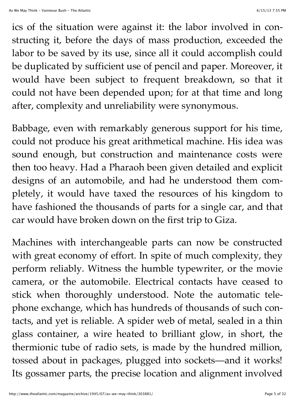ics of the situation were against it: the labor involved in constructing it, before the days of mass production, exceeded the labor to be saved by its use, since all it could accomplish could be duplicated by sufficient use of pencil and paper. Moreover, it would have been subject to frequent breakdown, so that it could not have been depended upon; for at that time and long after, complexity and unreliability were synonymous.

Babbage, even with remarkably generous support for his time, could not produce his great arithmetical machine. His idea was sound enough, but construction and maintenance costs were then too heavy. Had a Pharaoh been given detailed and explicit designs of an automobile, and had he understood them completely, it would have taxed the resources of his kingdom to have fashioned the thousands of parts for a single car, and that car would have broken down on the first trip to Giza.

Machines with interchangeable parts can now be constructed with great economy of effort. In spite of much complexity, they perform reliably. Witness the humble typewriter, or the movie camera, or the automobile. Electrical contacts have ceased to stick when thoroughly understood. Note the automatic telephone exchange, which has hundreds of thousands of such contacts, and yet is reliable. A spider web of metal, sealed in a thin glass container, a wire heated to brilliant glow, in short, the thermionic tube of radio sets, is made by the hundred million, tossed about in packages, plugged into sockets—and it works! Its gossamer parts, the precise location and alignment involved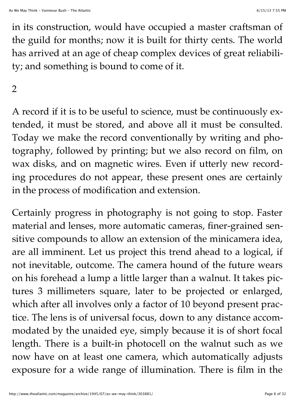in its construction, would have occupied a master craftsman of the guild for months; now it is built for thirty cents. The world has arrived at an age of cheap complex devices of great reliability; and something is bound to come of it.

# 2

A record if it is to be useful to science, must be continuously extended, it must be stored, and above all it must be consulted. Today we make the record conventionally by writing and photography, followed by printing; but we also record on film, on wax disks, and on magnetic wires. Even if utterly new recording procedures do not appear, these present ones are certainly in the process of modification and extension.

Certainly progress in photography is not going to stop. Faster material and lenses, more automatic cameras, finer-grained sensitive compounds to allow an extension of the minicamera idea, are all imminent. Let us project this trend ahead to a logical, if not inevitable, outcome. The camera hound of the future wears on his forehead a lump a little larger than a walnut. It takes pictures 3 millimeters square, later to be projected or enlarged, which after all involves only a factor of 10 beyond present practice. The lens is of universal focus, down to any distance accommodated by the unaided eye, simply because it is of short focal length. There is a built-in photocell on the walnut such as we now have on at least one camera, which automatically adjusts exposure for a wide range of illumination. There is film in the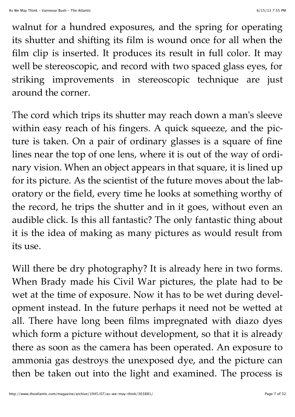walnut for a hundred exposures, and the spring for operating its shutter and shifting its film is wound once for all when the film clip is inserted. It produces its result in full color. It may well be stereoscopic, and record with two spaced glass eyes, for striking improvements in stereoscopic technique are just around the corner.

The cord which trips its shutter may reach down a man's sleeve within easy reach of his fingers. A quick squeeze, and the picture is taken. On a pair of ordinary glasses is a square of fine lines near the top of one lens, where it is out of the way of ordinary vision. When an object appears in that square, it is lined up for its picture. As the scientist of the future moves about the laboratory or the field, every time he looks at something worthy of the record, he trips the shutter and in it goes, without even an audible click. Is this all fantastic? The only fantastic thing about it is the idea of making as many pictures as would result from its use.

Will there be dry photography? It is already here in two forms. When Brady made his Civil War pictures, the plate had to be wet at the time of exposure. Now it has to be wet during development instead. In the future perhaps it need not be wetted at all. There have long been films impregnated with diazo dyes which form a picture without development, so that it is already there as soon as the camera has been operated. An exposure to ammonia gas destroys the unexposed dye, and the picture can then be taken out into the light and examined. The process is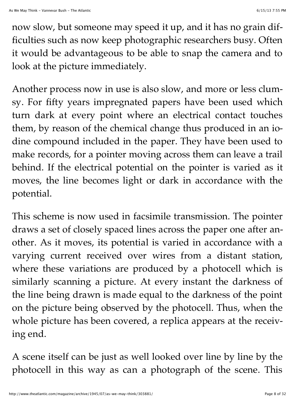now slow, but someone may speed it up, and it has no grain difficulties such as now keep photographic researchers busy. Often it would be advantageous to be able to snap the camera and to look at the picture immediately.

Another process now in use is also slow, and more or less clumsy. For fifty years impregnated papers have been used which turn dark at every point where an electrical contact touches them, by reason of the chemical change thus produced in an iodine compound included in the paper. They have been used to make records, for a pointer moving across them can leave a trail behind. If the electrical potential on the pointer is varied as it moves, the line becomes light or dark in accordance with the potential.

This scheme is now used in facsimile transmission. The pointer draws a set of closely spaced lines across the paper one after another. As it moves, its potential is varied in accordance with a varying current received over wires from a distant station, where these variations are produced by a photocell which is similarly scanning a picture. At every instant the darkness of the line being drawn is made equal to the darkness of the point on the picture being observed by the photocell. Thus, when the whole picture has been covered, a replica appears at the receiving end.

A scene itself can be just as well looked over line by line by the photocell in this way as can a photograph of the scene. This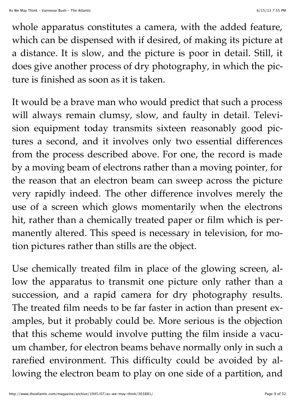whole apparatus constitutes a camera, with the added feature, which can be dispensed with if desired, of making its picture at a distance. It is slow, and the picture is poor in detail. Still, it does give another process of dry photography, in which the picture is finished as soon as it is taken.

It would be a brave man who would predict that such a process will always remain clumsy, slow, and faulty in detail. Television equipment today transmits sixteen reasonably good pictures a second, and it involves only two essential differences from the process described above. For one, the record is made by a moving beam of electrons rather than a moving pointer, for the reason that an electron beam can sweep across the picture very rapidly indeed. The other difference involves merely the use of a screen which glows momentarily when the electrons hit, rather than a chemically treated paper or film which is permanently altered. This speed is necessary in television, for motion pictures rather than stills are the object.

Use chemically treated film in place of the glowing screen, allow the apparatus to transmit one picture only rather than a succession, and a rapid camera for dry photography results. The treated film needs to be far faster in action than present examples, but it probably could be. More serious is the objection that this scheme would involve putting the film inside a vacuum chamber, for electron beams behave normally only in such a rarefied environment. This difficulty could be avoided by allowing the electron beam to play on one side of a partition, and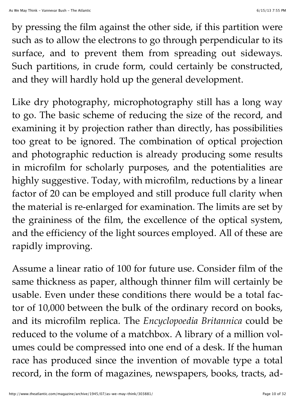by pressing the film against the other side, if this partition were such as to allow the electrons to go through perpendicular to its surface, and to prevent them from spreading out sideways. Such partitions, in crude form, could certainly be constructed, and they will hardly hold up the general development.

Like dry photography, microphotography still has a long way to go. The basic scheme of reducing the size of the record, and examining it by projection rather than directly, has possibilities too great to be ignored. The combination of optical projection and photographic reduction is already producing some results in microfilm for scholarly purposes, and the potentialities are highly suggestive. Today, with microfilm, reductions by a linear factor of 20 can be employed and still produce full clarity when the material is re-enlarged for examination. The limits are set by the graininess of the film, the excellence of the optical system, and the efficiency of the light sources employed. All of these are rapidly improving.

Assume a linear ratio of 100 for future use. Consider film of the same thickness as paper, although thinner film will certainly be usable. Even under these conditions there would be a total factor of 10,000 between the bulk of the ordinary record on books, and its microfilm replica. The *Encyclopoedia Britannica* could be reduced to the volume of a matchbox. A library of a million volumes could be compressed into one end of a desk. If the human race has produced since the invention of movable type a total record, in the form of magazines, newspapers, books, tracts, ad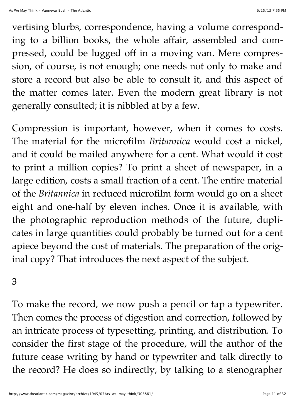vertising blurbs, correspondence, having a volume corresponding to a billion books, the whole affair, assembled and compressed, could be lugged off in a moving van. Mere compression, of course, is not enough; one needs not only to make and store a record but also be able to consult it, and this aspect of the matter comes later. Even the modern great library is not generally consulted; it is nibbled at by a few.

Compression is important, however, when it comes to costs. The material for the microfilm *Britannica* would cost a nickel, and it could be mailed anywhere for a cent. What would it cost to print a million copies? To print a sheet of newspaper, in a large edition, costs a small fraction of a cent. The entire material of the *Britannica* in reduced microfilm form would go on a sheet eight and one-half by eleven inches. Once it is available, with the photographic reproduction methods of the future, duplicates in large quantities could probably be turned out for a cent apiece beyond the cost of materials. The preparation of the original copy? That introduces the next aspect of the subject.

3

To make the record, we now push a pencil or tap a typewriter. Then comes the process of digestion and correction, followed by an intricate process of typesetting, printing, and distribution. To consider the first stage of the procedure, will the author of the future cease writing by hand or typewriter and talk directly to the record? He does so indirectly, by talking to a stenographer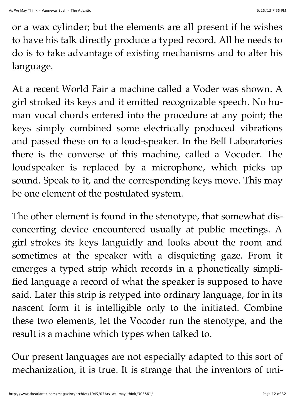or a wax cylinder; but the elements are all present if he wishes to have his talk directly produce a typed record. All he needs to do is to take advantage of existing mechanisms and to alter his language.

At a recent World Fair a machine called a Voder was shown. A girl stroked its keys and it emitted recognizable speech. No human vocal chords entered into the procedure at any point; the keys simply combined some electrically produced vibrations and passed these on to a loud-speaker. In the Bell Laboratories there is the converse of this machine, called a Vocoder. The loudspeaker is replaced by a microphone, which picks up sound. Speak to it, and the corresponding keys move. This may be one element of the postulated system.

The other element is found in the stenotype, that somewhat disconcerting device encountered usually at public meetings. A girl strokes its keys languidly and looks about the room and sometimes at the speaker with a disquieting gaze. From it emerges a typed strip which records in a phonetically simplified language a record of what the speaker is supposed to have said. Later this strip is retyped into ordinary language, for in its nascent form it is intelligible only to the initiated. Combine these two elements, let the Vocoder run the stenotype, and the result is a machine which types when talked to.

Our present languages are not especially adapted to this sort of mechanization, it is true. It is strange that the inventors of uni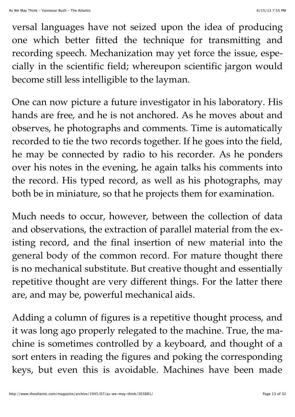versal languages have not seized upon the idea of producing one which better fitted the technique for transmitting and recording speech. Mechanization may yet force the issue, especially in the scientific field; whereupon scientific jargon would become still less intelligible to the layman.

One can now picture a future investigator in his laboratory. His hands are free, and he is not anchored. As he moves about and observes, he photographs and comments. Time is automatically recorded to tie the two records together. If he goes into the field, he may be connected by radio to his recorder. As he ponders over his notes in the evening, he again talks his comments into the record. His typed record, as well as his photographs, may both be in miniature, so that he projects them for examination.

Much needs to occur, however, between the collection of data and observations, the extraction of parallel material from the existing record, and the final insertion of new material into the general body of the common record. For mature thought there is no mechanical substitute. But creative thought and essentially repetitive thought are very different things. For the latter there are, and may be, powerful mechanical aids.

Adding a column of figures is a repetitive thought process, and it was long ago properly relegated to the machine. True, the machine is sometimes controlled by a keyboard, and thought of a sort enters in reading the figures and poking the corresponding keys, but even this is avoidable. Machines have been made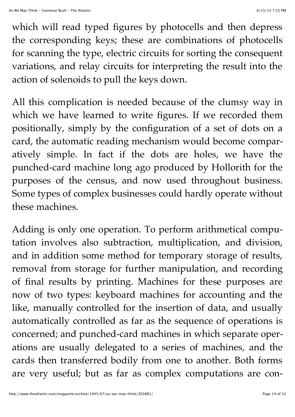which will read typed figures by photocells and then depress the corresponding keys; these are combinations of photocells for scanning the type, electric circuits for sorting the consequent variations, and relay circuits for interpreting the result into the action of solenoids to pull the keys down.

All this complication is needed because of the clumsy way in which we have learned to write figures. If we recorded them positionally, simply by the configuration of a set of dots on a card, the automatic reading mechanism would become comparatively simple. In fact if the dots are holes, we have the punched-card machine long ago produced by Hollorith for the purposes of the census, and now used throughout business. Some types of complex businesses could hardly operate without these machines.

Adding is only one operation. To perform arithmetical computation involves also subtraction, multiplication, and division, and in addition some method for temporary storage of results, removal from storage for further manipulation, and recording of final results by printing. Machines for these purposes are now of two types: keyboard machines for accounting and the like, manually controlled for the insertion of data, and usually automatically controlled as far as the sequence of operations is concerned; and punched-card machines in which separate operations are usually delegated to a series of machines, and the cards then transferred bodily from one to another. Both forms are very useful; but as far as complex computations are con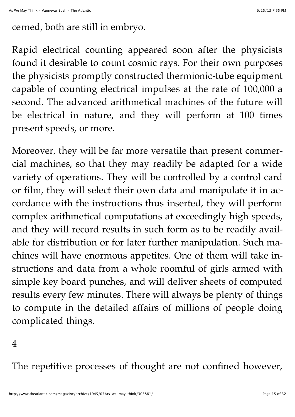cerned, both are still in embryo.

Rapid electrical counting appeared soon after the physicists found it desirable to count cosmic rays. For their own purposes the physicists promptly constructed thermionic-tube equipment capable of counting electrical impulses at the rate of 100,000 a second. The advanced arithmetical machines of the future will be electrical in nature, and they will perform at 100 times present speeds, or more.

Moreover, they will be far more versatile than present commercial machines, so that they may readily be adapted for a wide variety of operations. They will be controlled by a control card or film, they will select their own data and manipulate it in accordance with the instructions thus inserted, they will perform complex arithmetical computations at exceedingly high speeds, and they will record results in such form as to be readily available for distribution or for later further manipulation. Such machines will have enormous appetites. One of them will take instructions and data from a whole roomful of girls armed with simple key board punches, and will deliver sheets of computed results every few minutes. There will always be plenty of things to compute in the detailed affairs of millions of people doing complicated things.

4

The repetitive processes of thought are not confined however,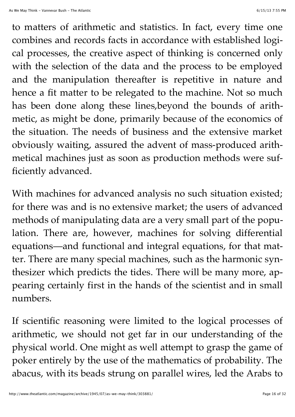to matters of arithmetic and statistics. In fact, every time one combines and records facts in accordance with established logical processes, the creative aspect of thinking is concerned only with the selection of the data and the process to be employed and the manipulation thereafter is repetitive in nature and hence a fit matter to be relegated to the machine. Not so much has been done along these lines,beyond the bounds of arithmetic, as might be done, primarily because of the economics of the situation. The needs of business and the extensive market obviously waiting, assured the advent of mass-produced arithmetical machines just as soon as production methods were sufficiently advanced.

With machines for advanced analysis no such situation existed; for there was and is no extensive market; the users of advanced methods of manipulating data are a very small part of the population. There are, however, machines for solving differential equations—and functional and integral equations, for that matter. There are many special machines, such as the harmonic synthesizer which predicts the tides. There will be many more, appearing certainly first in the hands of the scientist and in small numbers.

If scientific reasoning were limited to the logical processes of arithmetic, we should not get far in our understanding of the physical world. One might as well attempt to grasp the game of poker entirely by the use of the mathematics of probability. The abacus, with its beads strung on parallel wires, led the Arabs to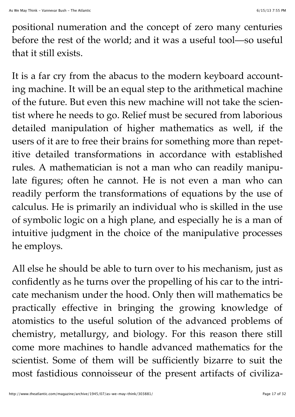positional numeration and the concept of zero many centuries before the rest of the world; and it was a useful tool—so useful that it still exists.

It is a far cry from the abacus to the modern keyboard accounting machine. It will be an equal step to the arithmetical machine of the future. But even this new machine will not take the scientist where he needs to go. Relief must be secured from laborious detailed manipulation of higher mathematics as well, if the users of it are to free their brains for something more than repetitive detailed transformations in accordance with established rules. A mathematician is not a man who can readily manipulate figures; often he cannot. He is not even a man who can readily perform the transformations of equations by the use of calculus. He is primarily an individual who is skilled in the use of symbolic logic on a high plane, and especially he is a man of intuitive judgment in the choice of the manipulative processes he employs.

All else he should be able to turn over to his mechanism, just as confidently as he turns over the propelling of his car to the intricate mechanism under the hood. Only then will mathematics be practically effective in bringing the growing knowledge of atomistics to the useful solution of the advanced problems of chemistry, metallurgy, and biology. For this reason there still come more machines to handle advanced mathematics for the scientist. Some of them will be sufficiently bizarre to suit the most fastidious connoisseur of the present artifacts of civiliza-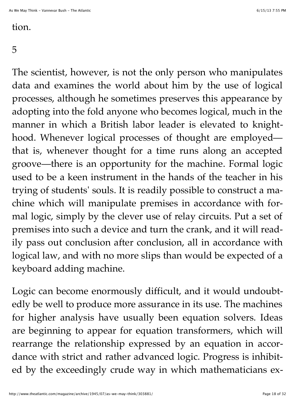#### tion.

## 5

The scientist, however, is not the only person who manipulates data and examines the world about him by the use of logical processes, although he sometimes preserves this appearance by adopting into the fold anyone who becomes logical, much in the manner in which a British labor leader is elevated to knighthood. Whenever logical processes of thought are employed that is, whenever thought for a time runs along an accepted groove—there is an opportunity for the machine. Formal logic used to be a keen instrument in the hands of the teacher in his trying of students' souls. It is readily possible to construct a machine which will manipulate premises in accordance with formal logic, simply by the clever use of relay circuits. Put a set of premises into such a device and turn the crank, and it will readily pass out conclusion after conclusion, all in accordance with logical law, and with no more slips than would be expected of a keyboard adding machine.

Logic can become enormously difficult, and it would undoubtedly be well to produce more assurance in its use. The machines for higher analysis have usually been equation solvers. Ideas are beginning to appear for equation transformers, which will rearrange the relationship expressed by an equation in accordance with strict and rather advanced logic. Progress is inhibited by the exceedingly crude way in which mathematicians ex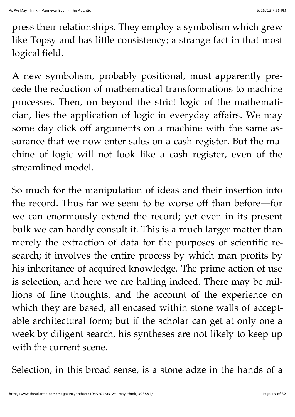press their relationships. They employ a symbolism which grew like Topsy and has little consistency; a strange fact in that most logical field.

A new symbolism, probably positional, must apparently precede the reduction of mathematical transformations to machine processes. Then, on beyond the strict logic of the mathematician, lies the application of logic in everyday affairs. We may some day click off arguments on a machine with the same assurance that we now enter sales on a cash register. But the machine of logic will not look like a cash register, even of the streamlined model.

So much for the manipulation of ideas and their insertion into the record. Thus far we seem to be worse off than before—for we can enormously extend the record; yet even in its present bulk we can hardly consult it. This is a much larger matter than merely the extraction of data for the purposes of scientific research; it involves the entire process by which man profits by his inheritance of acquired knowledge. The prime action of use is selection, and here we are halting indeed. There may be millions of fine thoughts, and the account of the experience on which they are based, all encased within stone walls of acceptable architectural form; but if the scholar can get at only one a week by diligent search, his syntheses are not likely to keep up with the current scene.

Selection, in this broad sense, is a stone adze in the hands of a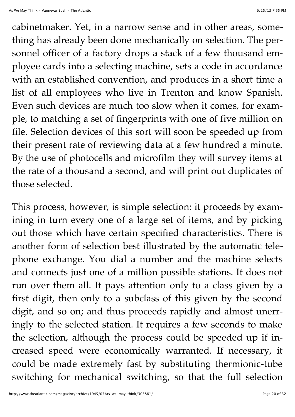cabinetmaker. Yet, in a narrow sense and in other areas, something has already been done mechanically on selection. The personnel officer of a factory drops a stack of a few thousand employee cards into a selecting machine, sets a code in accordance with an established convention, and produces in a short time a list of all employees who live in Trenton and know Spanish. Even such devices are much too slow when it comes, for example, to matching a set of fingerprints with one of five million on file. Selection devices of this sort will soon be speeded up from their present rate of reviewing data at a few hundred a minute. By the use of photocells and microfilm they will survey items at the rate of a thousand a second, and will print out duplicates of those selected.

This process, however, is simple selection: it proceeds by examining in turn every one of a large set of items, and by picking out those which have certain specified characteristics. There is another form of selection best illustrated by the automatic telephone exchange. You dial a number and the machine selects and connects just one of a million possible stations. It does not run over them all. It pays attention only to a class given by a first digit, then only to a subclass of this given by the second digit, and so on; and thus proceeds rapidly and almost unerringly to the selected station. It requires a few seconds to make the selection, although the process could be speeded up if increased speed were economically warranted. If necessary, it could be made extremely fast by substituting thermionic-tube switching for mechanical switching, so that the full selection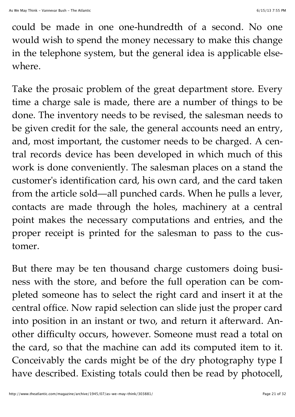could be made in one one-hundredth of a second. No one would wish to spend the money necessary to make this change in the telephone system, but the general idea is applicable elsewhere.

Take the prosaic problem of the great department store. Every time a charge sale is made, there are a number of things to be done. The inventory needs to be revised, the salesman needs to be given credit for the sale, the general accounts need an entry, and, most important, the customer needs to be charged. A central records device has been developed in which much of this work is done conveniently. The salesman places on a stand the customer's identification card, his own card, and the card taken from the article sold—all punched cards. When he pulls a lever, contacts are made through the holes, machinery at a central point makes the necessary computations and entries, and the proper receipt is printed for the salesman to pass to the customer.

But there may be ten thousand charge customers doing business with the store, and before the full operation can be completed someone has to select the right card and insert it at the central office. Now rapid selection can slide just the proper card into position in an instant or two, and return it afterward. Another difficulty occurs, however. Someone must read a total on the card, so that the machine can add its computed item to it. Conceivably the cards might be of the dry photography type I have described. Existing totals could then be read by photocell,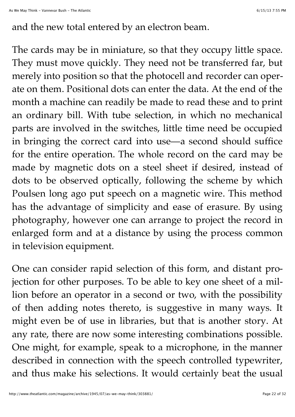and the new total entered by an electron beam.

The cards may be in miniature, so that they occupy little space. They must move quickly. They need not be transferred far, but merely into position so that the photocell and recorder can operate on them. Positional dots can enter the data. At the end of the month a machine can readily be made to read these and to print an ordinary bill. With tube selection, in which no mechanical parts are involved in the switches, little time need be occupied in bringing the correct card into use—a second should suffice for the entire operation. The whole record on the card may be made by magnetic dots on a steel sheet if desired, instead of dots to be observed optically, following the scheme by which Poulsen long ago put speech on a magnetic wire. This method has the advantage of simplicity and ease of erasure. By using photography, however one can arrange to project the record in enlarged form and at a distance by using the process common in television equipment.

One can consider rapid selection of this form, and distant projection for other purposes. To be able to key one sheet of a million before an operator in a second or two, with the possibility of then adding notes thereto, is suggestive in many ways. It might even be of use in libraries, but that is another story. At any rate, there are now some interesting combinations possible. One might, for example, speak to a microphone, in the manner described in connection with the speech controlled typewriter, and thus make his selections. It would certainly beat the usual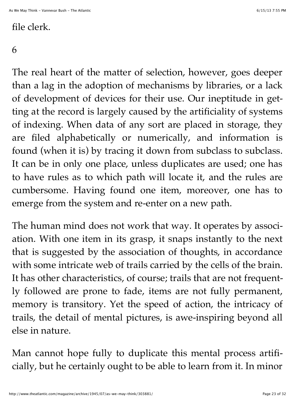### file clerk.

#### 6

The real heart of the matter of selection, however, goes deeper than a lag in the adoption of mechanisms by libraries, or a lack of development of devices for their use. Our ineptitude in getting at the record is largely caused by the artificiality of systems of indexing. When data of any sort are placed in storage, they are filed alphabetically or numerically, and information is found (when it is) by tracing it down from subclass to subclass. It can be in only one place, unless duplicates are used; one has to have rules as to which path will locate it, and the rules are cumbersome. Having found one item, moreover, one has to emerge from the system and re-enter on a new path.

The human mind does not work that way. It operates by association. With one item in its grasp, it snaps instantly to the next that is suggested by the association of thoughts, in accordance with some intricate web of trails carried by the cells of the brain. It has other characteristics, of course; trails that are not frequently followed are prone to fade, items are not fully permanent, memory is transitory. Yet the speed of action, the intricacy of trails, the detail of mental pictures, is awe-inspiring beyond all else in nature.

Man cannot hope fully to duplicate this mental process artificially, but he certainly ought to be able to learn from it. In minor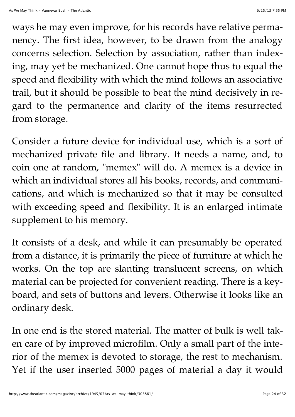ways he may even improve, for his records have relative permanency. The first idea, however, to be drawn from the analogy concerns selection. Selection by association, rather than indexing, may yet be mechanized. One cannot hope thus to equal the speed and flexibility with which the mind follows an associative trail, but it should be possible to beat the mind decisively in regard to the permanence and clarity of the items resurrected from storage.

Consider a future device for individual use, which is a sort of mechanized private file and library. It needs a name, and, to coin one at random, "memex" will do. A memex is a device in which an individual stores all his books, records, and communications, and which is mechanized so that it may be consulted with exceeding speed and flexibility. It is an enlarged intimate supplement to his memory.

It consists of a desk, and while it can presumably be operated from a distance, it is primarily the piece of furniture at which he works. On the top are slanting translucent screens, on which material can be projected for convenient reading. There is a keyboard, and sets of buttons and levers. Otherwise it looks like an ordinary desk.

In one end is the stored material. The matter of bulk is well taken care of by improved microfilm. Only a small part of the interior of the memex is devoted to storage, the rest to mechanism. Yet if the user inserted 5000 pages of material a day it would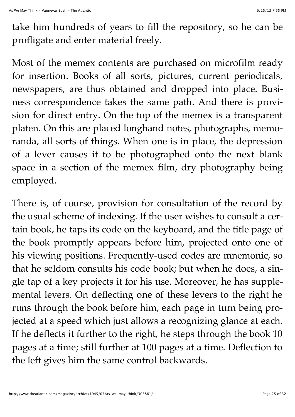take him hundreds of years to fill the repository, so he can be profligate and enter material freely.

Most of the memex contents are purchased on microfilm ready for insertion. Books of all sorts, pictures, current periodicals, newspapers, are thus obtained and dropped into place. Business correspondence takes the same path. And there is provision for direct entry. On the top of the memex is a transparent platen. On this are placed longhand notes, photographs, memoranda, all sorts of things. When one is in place, the depression of a lever causes it to be photographed onto the next blank space in a section of the memex film, dry photography being employed.

There is, of course, provision for consultation of the record by the usual scheme of indexing. If the user wishes to consult a certain book, he taps its code on the keyboard, and the title page of the book promptly appears before him, projected onto one of his viewing positions. Frequently-used codes are mnemonic, so that he seldom consults his code book; but when he does, a single tap of a key projects it for his use. Moreover, he has supplemental levers. On deflecting one of these levers to the right he runs through the book before him, each page in turn being projected at a speed which just allows a recognizing glance at each. If he deflects it further to the right, he steps through the book 10 pages at a time; still further at 100 pages at a time. Deflection to the left gives him the same control backwards.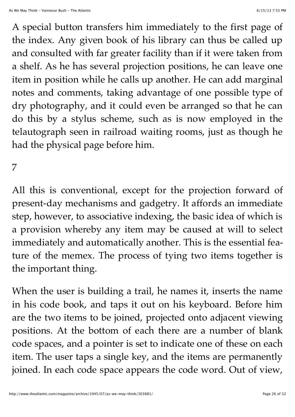A special button transfers him immediately to the first page of the index. Any given book of his library can thus be called up and consulted with far greater facility than if it were taken from a shelf. As he has several projection positions, he can leave one item in position while he calls up another. He can add marginal notes and comments, taking advantage of one possible type of dry photography, and it could even be arranged so that he can do this by a stylus scheme, such as is now employed in the telautograph seen in railroad waiting rooms, just as though he had the physical page before him.

# 7

All this is conventional, except for the projection forward of present-day mechanisms and gadgetry. It affords an immediate step, however, to associative indexing, the basic idea of which is a provision whereby any item may be caused at will to select immediately and automatically another. This is the essential feature of the memex. The process of tying two items together is the important thing.

When the user is building a trail, he names it, inserts the name in his code book, and taps it out on his keyboard. Before him are the two items to be joined, projected onto adjacent viewing positions. At the bottom of each there are a number of blank code spaces, and a pointer is set to indicate one of these on each item. The user taps a single key, and the items are permanently joined. In each code space appears the code word. Out of view,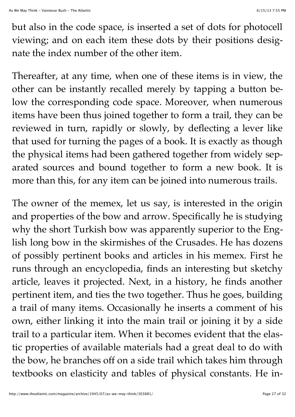but also in the code space, is inserted a set of dots for photocell viewing; and on each item these dots by their positions designate the index number of the other item.

Thereafter, at any time, when one of these items is in view, the other can be instantly recalled merely by tapping a button below the corresponding code space. Moreover, when numerous items have been thus joined together to form a trail, they can be reviewed in turn, rapidly or slowly, by deflecting a lever like that used for turning the pages of a book. It is exactly as though the physical items had been gathered together from widely separated sources and bound together to form a new book. It is more than this, for any item can be joined into numerous trails.

The owner of the memex, let us say, is interested in the origin and properties of the bow and arrow. Specifically he is studying why the short Turkish bow was apparently superior to the English long bow in the skirmishes of the Crusades. He has dozens of possibly pertinent books and articles in his memex. First he runs through an encyclopedia, finds an interesting but sketchy article, leaves it projected. Next, in a history, he finds another pertinent item, and ties the two together. Thus he goes, building a trail of many items. Occasionally he inserts a comment of his own, either linking it into the main trail or joining it by a side trail to a particular item. When it becomes evident that the elastic properties of available materials had a great deal to do with the bow, he branches off on a side trail which takes him through textbooks on elasticity and tables of physical constants. He in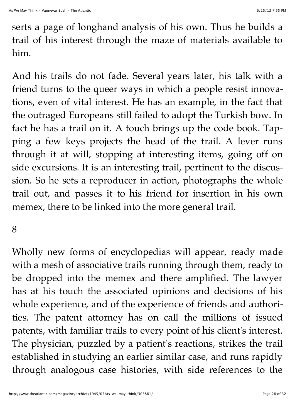serts a page of longhand analysis of his own. Thus he builds a trail of his interest through the maze of materials available to him.

And his trails do not fade. Several years later, his talk with a friend turns to the queer ways in which a people resist innovations, even of vital interest. He has an example, in the fact that the outraged Europeans still failed to adopt the Turkish bow. In fact he has a trail on it. A touch brings up the code book. Tapping a few keys projects the head of the trail. A lever runs through it at will, stopping at interesting items, going off on side excursions. It is an interesting trail, pertinent to the discussion. So he sets a reproducer in action, photographs the whole trail out, and passes it to his friend for insertion in his own memex, there to be linked into the more general trail.

8

Wholly new forms of encyclopedias will appear, ready made with a mesh of associative trails running through them, ready to be dropped into the memex and there amplified. The lawyer has at his touch the associated opinions and decisions of his whole experience, and of the experience of friends and authorities. The patent attorney has on call the millions of issued patents, with familiar trails to every point of his client's interest. The physician, puzzled by a patient's reactions, strikes the trail established in studying an earlier similar case, and runs rapidly through analogous case histories, with side references to the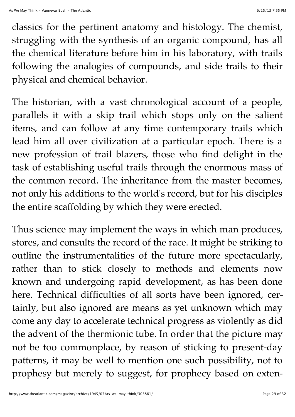classics for the pertinent anatomy and histology. The chemist, struggling with the synthesis of an organic compound, has all the chemical literature before him in his laboratory, with trails following the analogies of compounds, and side trails to their physical and chemical behavior.

The historian, with a vast chronological account of a people, parallels it with a skip trail which stops only on the salient items, and can follow at any time contemporary trails which lead him all over civilization at a particular epoch. There is a new profession of trail blazers, those who find delight in the task of establishing useful trails through the enormous mass of the common record. The inheritance from the master becomes, not only his additions to the world's record, but for his disciples the entire scaffolding by which they were erected.

Thus science may implement the ways in which man produces, stores, and consults the record of the race. It might be striking to outline the instrumentalities of the future more spectacularly, rather than to stick closely to methods and elements now known and undergoing rapid development, as has been done here. Technical difficulties of all sorts have been ignored, certainly, but also ignored are means as yet unknown which may come any day to accelerate technical progress as violently as did the advent of the thermionic tube. In order that the picture may not be too commonplace, by reason of sticking to present-day patterns, it may be well to mention one such possibility, not to prophesy but merely to suggest, for prophecy based on exten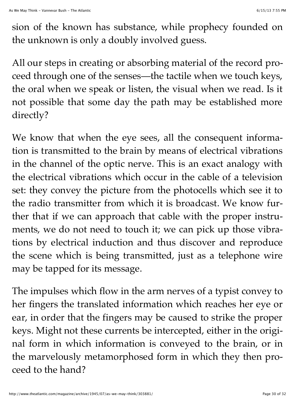sion of the known has substance, while prophecy founded on the unknown is only a doubly involved guess.

All our steps in creating or absorbing material of the record proceed through one of the senses—the tactile when we touch keys, the oral when we speak or listen, the visual when we read. Is it not possible that some day the path may be established more directly?

We know that when the eye sees, all the consequent information is transmitted to the brain by means of electrical vibrations in the channel of the optic nerve. This is an exact analogy with the electrical vibrations which occur in the cable of a television set: they convey the picture from the photocells which see it to the radio transmitter from which it is broadcast. We know further that if we can approach that cable with the proper instruments, we do not need to touch it; we can pick up those vibrations by electrical induction and thus discover and reproduce the scene which is being transmitted, just as a telephone wire may be tapped for its message.

The impulses which flow in the arm nerves of a typist convey to her fingers the translated information which reaches her eye or ear, in order that the fingers may be caused to strike the proper keys. Might not these currents be intercepted, either in the original form in which information is conveyed to the brain, or in the marvelously metamorphosed form in which they then proceed to the hand?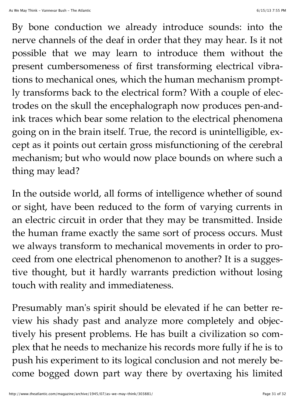By bone conduction we already introduce sounds: into the nerve channels of the deaf in order that they may hear. Is it not possible that we may learn to introduce them without the present cumbersomeness of first transforming electrical vibrations to mechanical ones, which the human mechanism promptly transforms back to the electrical form? With a couple of electrodes on the skull the encephalograph now produces pen-andink traces which bear some relation to the electrical phenomena going on in the brain itself. True, the record is unintelligible, except as it points out certain gross misfunctioning of the cerebral mechanism; but who would now place bounds on where such a thing may lead?

In the outside world, all forms of intelligence whether of sound or sight, have been reduced to the form of varying currents in an electric circuit in order that they may be transmitted. Inside the human frame exactly the same sort of process occurs. Must we always transform to mechanical movements in order to proceed from one electrical phenomenon to another? It is a suggestive thought, but it hardly warrants prediction without losing touch with reality and immediateness.

Presumably man's spirit should be elevated if he can better review his shady past and analyze more completely and objectively his present problems. He has built a civilization so complex that he needs to mechanize his records more fully if he is to push his experiment to its logical conclusion and not merely become bogged down part way there by overtaxing his limited